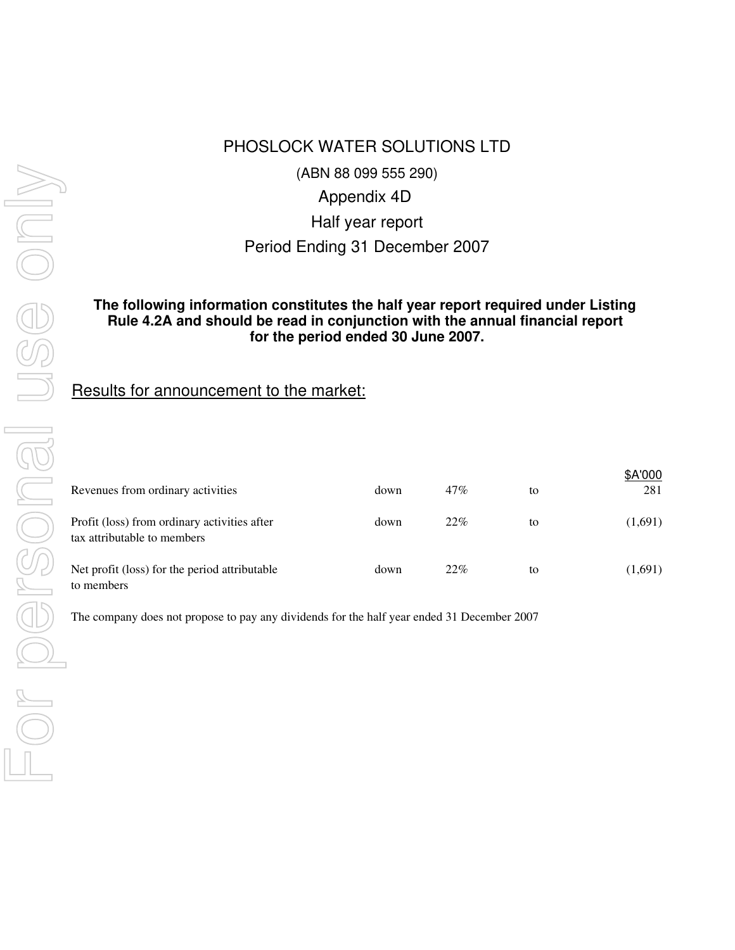# PHOSLOCK WATER SOLUTIONS LTD

(ABN 88 099 555 290)

Appendix 4D

Half year report

Period Ending 31 December 2007

## **for the period ended 30 June 2007. The following information constitutes the half year report required under Listing Rule 4.2A and should be read in conjunction with the annual financial report**

# Results for announcement to the market:

| Revenues from ordinary activities                                           | down | 47% | to | \$A'000<br>281 |
|-----------------------------------------------------------------------------|------|-----|----|----------------|
| Profit (loss) from ordinary activities after<br>tax attributable to members | down | 22% | to | (1,691)        |
| Net profit (loss) for the period attributable<br>to members                 | down | 22% | to | (1,691)        |

The company does not propose to pay any dividends for the half year ended 31 December 2007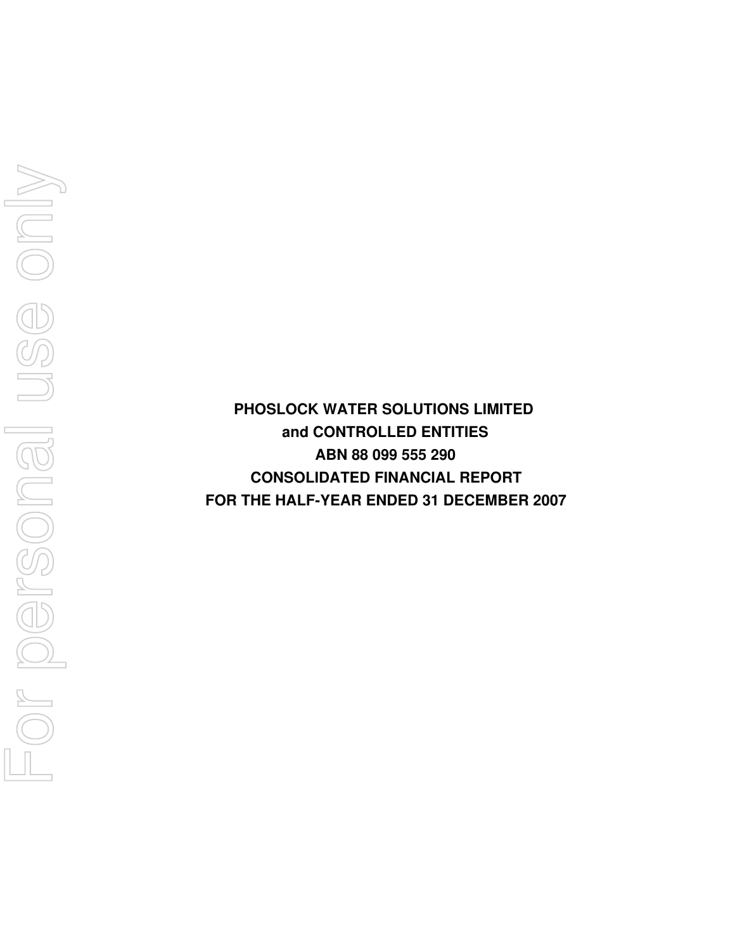**FOR THE HALF-YEAR ENDED 31 DECEMBER 2007 PHOSLOCK WATER SOLUTIONS LIMITED and CONTROLLED ENTITIES ABN 88 099 555 290 CONSOLIDATED FINANCIAL REPORT**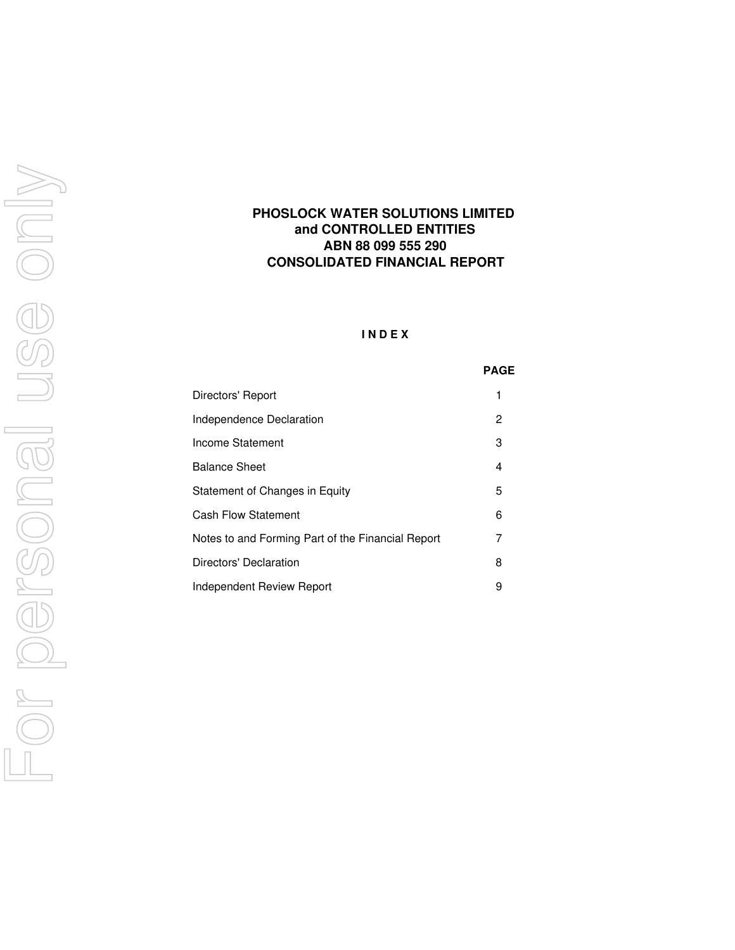## **CONSOLIDATED FINANCIAL REPORT PHOSLOCK WATER SOLUTIONS LIMITED and CONTROLLED ENTITIES ABN 88 099 555 290**

### **I N D E X**

#### **PAGE**

| Directors' Report                                 | 1 |
|---------------------------------------------------|---|
| Independence Declaration                          | 2 |
| Income Statement                                  | 3 |
| <b>Balance Sheet</b>                              | 4 |
| Statement of Changes in Equity                    | 5 |
| <b>Cash Flow Statement</b>                        | 6 |
| Notes to and Forming Part of the Financial Report | 7 |
| Directors' Declaration                            | 8 |
| Independent Review Report                         | 9 |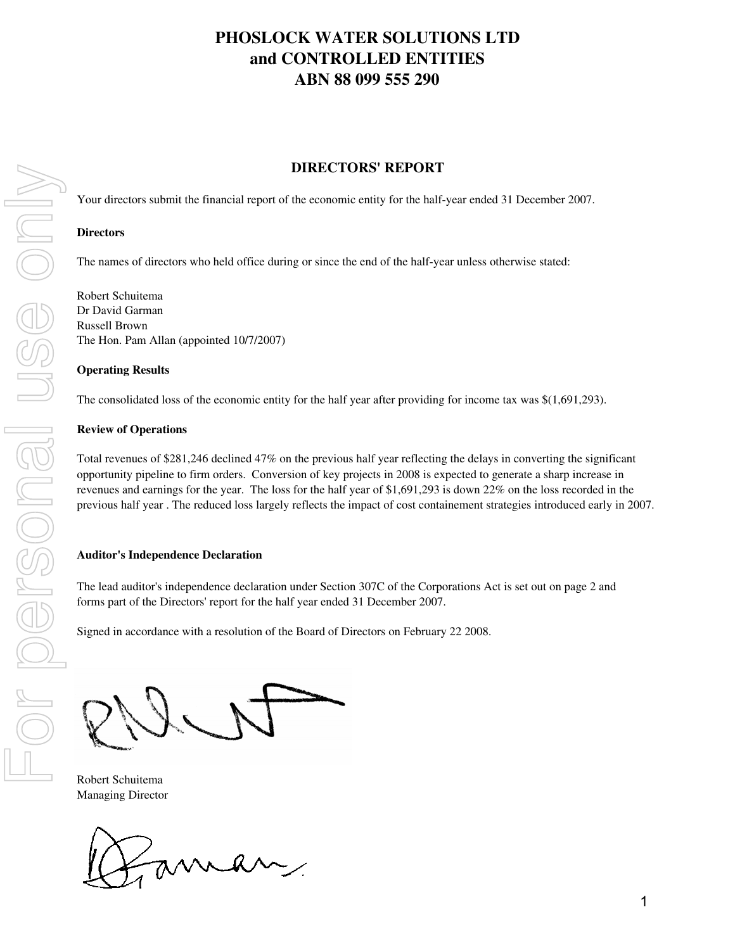# **DIRECTORS' REPORT**

Your directors submit the financial report of the economic entity for the half-year ended 31 December 2007.

### **Directors**

The names of directors who held office during or since the end of the half-year unless otherwise stated:

Robert Schuitema Dr David Garman Russell Brown The Hon. Pam Allan (appointed 10/7/2007)

### **Operating Results**

The consolidated loss of the economic entity for the half year after providing for income tax was \$(1,691,293).

### **Review of Operations**

Total revenues of \$281,246 declined 47% on the previous half year reflecting the delays in converting the significant opportunity pipeline to firm orders. Conversion of key projects in 2008 is expected to generate a sharp increase in revenues and earnings for the year. The loss for the half year of \$1,691,293 is down 22% on the loss recorded in the previous half year . The reduced loss largely reflects the impact of cost containement strategies introduced early in 2007.

### **Auditor's Independence Declaration**

The lead auditor's independence declaration under Section 307C of the Corporations Act is set out on page 2 and forms part of the Directors' report for the half year ended 31 December 2007.

Signed in accordance with a resolution of the Board of Directors on February 22 2008.

Robert Schuitema Managing Director

man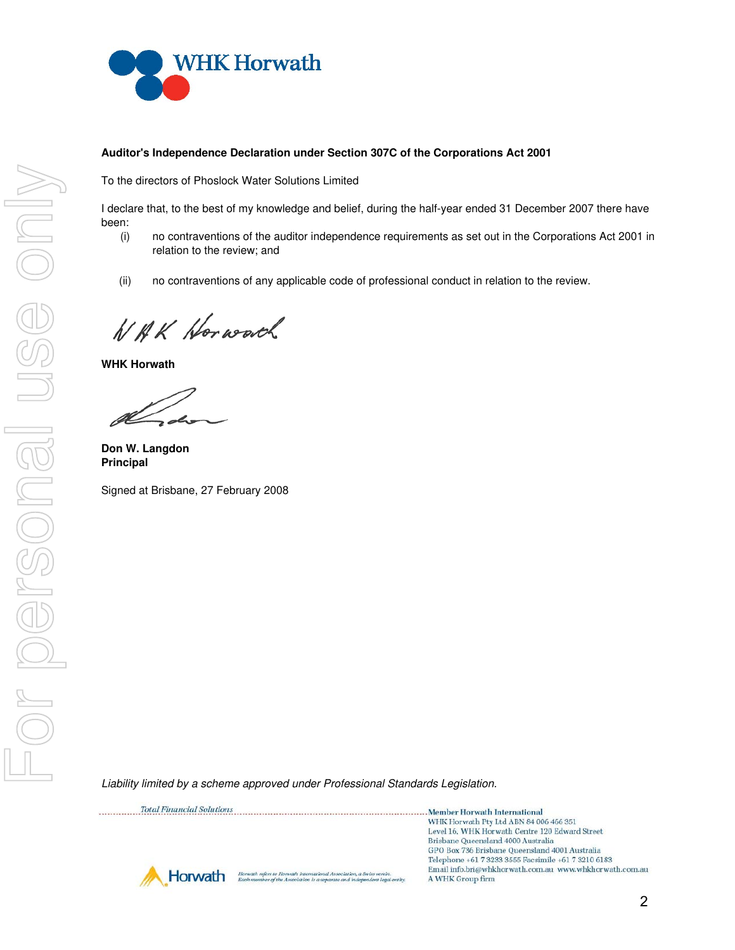

### **Auditor's Independence Declaration under Section 307C of the Corporations Act 2001**

To the directors of Phoslock Water Solutions Limited

I declare that, to the best of my knowledge and belief, during the half-year ended 31 December 2007 there have been:

- (i) no contraventions of the auditor independence requirements as set out in the Corporations Act 2001 in relation to the review; and
- (ii) no contraventions of any applicable code of professional conduct in relation to the review.

NBK Horworth

**WHK Horwath**

**Don W. Langdon Principal**

Signed at Brisbane, 27 February 2008

Liability limited by a scheme approved under Professional Standards Legislation.

| <b>Total Financial Solutions</b>                                                                                                                              | Member Horwath International                                                                                  |
|---------------------------------------------------------------------------------------------------------------------------------------------------------------|---------------------------------------------------------------------------------------------------------------|
|                                                                                                                                                               | WHK Horwath Pty Ltd ABN 84 006 466 351                                                                        |
|                                                                                                                                                               | Level 16, WHK Horwath Centre 120 Edward Street<br>Brisbane Queensland 4000 Australia                          |
|                                                                                                                                                               | GPO Box 736 Brisbane Queensland 4001 Australia                                                                |
|                                                                                                                                                               | Telephone +61 7 3233 3555 Facsimile +61 7 3210 6183<br>Email info.bri@whkhorwath.com.au_www.whkhorwath.com.au |
| Horwath<br>Horwath refers to Horwath International Association, a Swiss verein.<br>Each member of the Association is a separate and independent legal entity. | A WHK Group firm                                                                                              |



2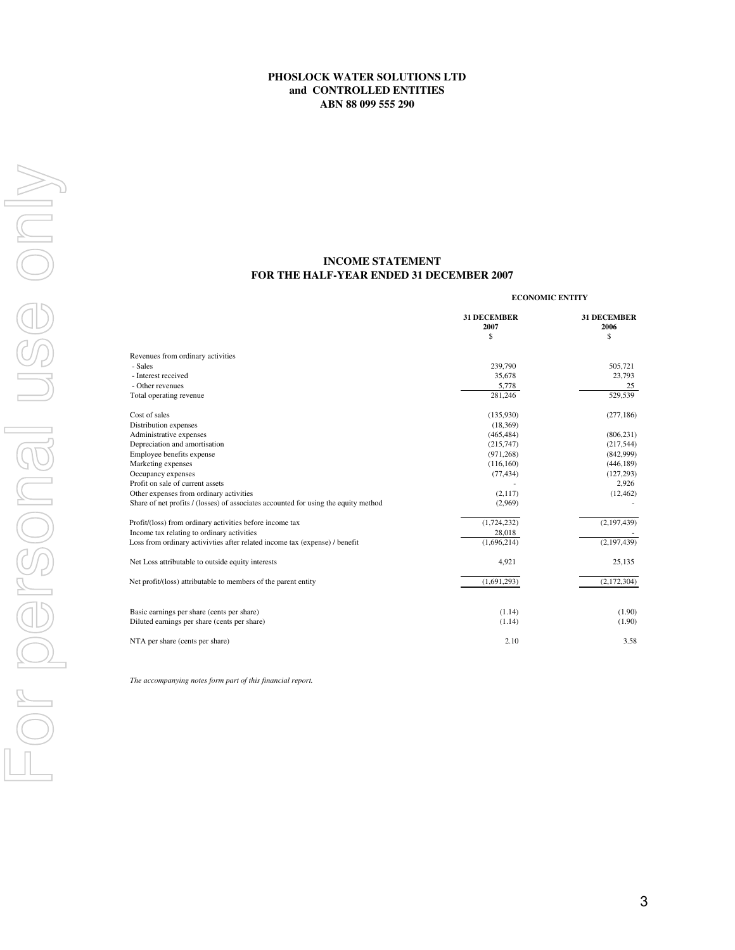### **INCOME STATEMENT FOR THE HALF-YEAR ENDED 31 DECEMBER 2007**

#### **ECONOMIC ENTITY**

|                                                                                     | <b>31 DECEMBER</b><br>2007<br>\$ | <b>31 DECEMBER</b><br>2006<br>\$ |
|-------------------------------------------------------------------------------------|----------------------------------|----------------------------------|
| Revenues from ordinary activities                                                   |                                  |                                  |
| - Sales                                                                             | 239,790                          | 505,721                          |
| - Interest received                                                                 | 35,678                           | 23,793                           |
| - Other revenues                                                                    | 5,778                            | 25                               |
| Total operating revenue                                                             | 281.246                          | 529,539                          |
| Cost of sales                                                                       | (135,930)                        | (277, 186)                       |
| Distribution expenses                                                               | (18,369)                         |                                  |
| Administrative expenses                                                             | (465, 484)                       | (806, 231)                       |
| Depreciation and amortisation                                                       | (215,747)                        | (217,544)                        |
| Employee benefits expense                                                           | (971, 268)                       | (842,999)                        |
| Marketing expenses                                                                  | (116,160)                        | (446, 189)                       |
| Occupancy expenses                                                                  | (77, 434)                        | (127, 293)                       |
| Profit on sale of current assets                                                    |                                  | 2,926                            |
| Other expenses from ordinary activities                                             | (2,117)                          | (12, 462)                        |
| Share of net profits / (losses) of associates accounted for using the equity method | (2,969)                          |                                  |
| Profit/(loss) from ordinary activities before income tax                            | (1,724,232)                      | (2,197,439)                      |
| Income tax relating to ordinary activities                                          | 28,018                           |                                  |
| Loss from ordinary activivties after related income tax (expense) / benefit         | (1,696,214)                      | (2,197,439)                      |
| Net Loss attributable to outside equity interests                                   | 4,921                            | 25,135                           |
| Net profit/(loss) attributable to members of the parent entity                      | (1,691,293)                      | (2,172,304)                      |
|                                                                                     |                                  |                                  |
| Basic earnings per share (cents per share)                                          | (1.14)                           | (1.90)                           |
| Diluted earnings per share (cents per share)                                        | (1.14)                           | (1.90)                           |
| NTA per share (cents per share)                                                     | 2.10                             | 3.58                             |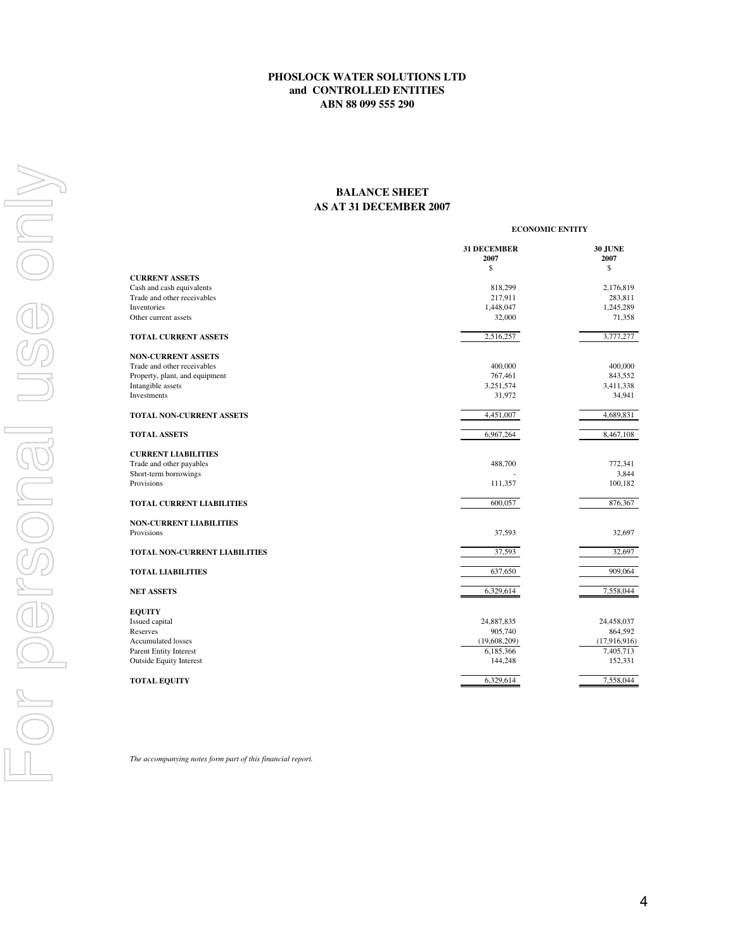### **AS AT 31 DECEMBER 2007 BALANCE SHEET**

|                                                    |                            | <b>ECONOMIC ENTITY</b> |  |  |
|----------------------------------------------------|----------------------------|------------------------|--|--|
|                                                    | <b>31 DECEMBER</b><br>2007 | <b>30 JUNE</b><br>2007 |  |  |
|                                                    | \$                         | \$                     |  |  |
| <b>CURRENT ASSETS</b><br>Cash and cash equivalents | 818,299                    | 2,176,819              |  |  |
| Trade and other receivables                        | 217,911                    | 283,811                |  |  |
| Inventories                                        | 1,448,047                  | 1,245,289              |  |  |
| Other current assets                               | 32,000                     | 71,358                 |  |  |
| <b>TOTAL CURRENT ASSETS</b>                        | 2,516,257                  | 3,777,277              |  |  |
| <b>NON-CURRENT ASSETS</b>                          |                            |                        |  |  |
| Trade and other receivables                        | 400,000                    | 400,000                |  |  |
| Property, plant, and equipment                     | 767,461                    | 843,552                |  |  |
| Intangible assets                                  | 3,251,574                  | 3,411,338              |  |  |
| Investments                                        | 31,972                     | 34,941                 |  |  |
| TOTAL NON-CURRENT ASSETS                           | 4,451,007                  | 4,689,831              |  |  |
| <b>TOTAL ASSETS</b>                                | 6,967,264                  | 8,467,108              |  |  |
| <b>CURRENT LIABILITIES</b>                         |                            |                        |  |  |
| Trade and other payables                           | 488,700                    | 772,341                |  |  |
| Short-term borrowings                              |                            | 3,844                  |  |  |
| <b>Provisions</b>                                  | 111,357                    | 100,182                |  |  |
| <b>TOTAL CURRENT LIABILITIES</b>                   | 600,057                    | 876,367                |  |  |
| <b>NON-CURRENT LIABILITIES</b>                     |                            |                        |  |  |
| Provisions                                         | 37,593                     | 32,697                 |  |  |
| TOTAL NON-CURRENT LIABILITIES                      | 37,593                     | 32,697                 |  |  |
| <b>TOTAL LIABILITIES</b>                           | 637,650                    | 909,064                |  |  |
| <b>NET ASSETS</b>                                  | 6,329,614                  | 7,558,044              |  |  |
| <b>EQUITY</b>                                      |                            |                        |  |  |
| Issued capital                                     | 24,887,835                 | 24,458,037             |  |  |
| Reserves                                           | 905,740                    | 864,592                |  |  |
| <b>Accumulated losses</b>                          | (19,608,209)               | (17,916,916)           |  |  |
| <b>Parent Entity Interest</b>                      | 6,185,366                  | 7,405,713              |  |  |
| <b>Outside Equity Interest</b>                     | 144,248                    | 152,331                |  |  |
| <b>TOTAL EQUITY</b>                                | 6,329,614                  | 7,558,044              |  |  |
|                                                    |                            |                        |  |  |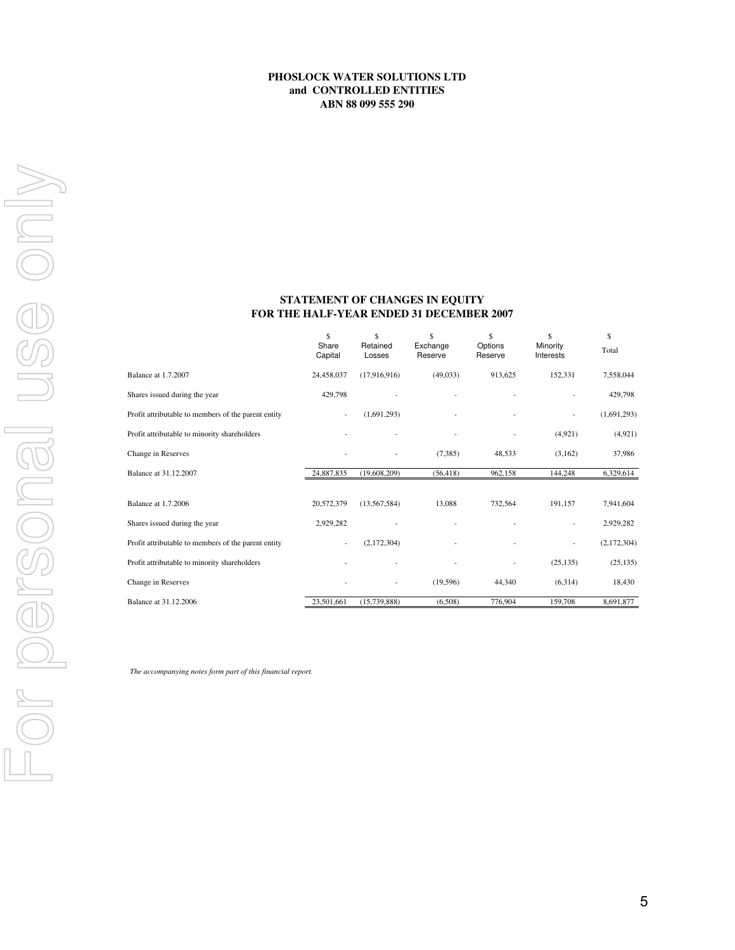### **FOR THE HALF-YEAR ENDED 31 DECEMBER 2007 STATEMENT OF CHANGES IN EQUITY**

|                                                     | \$<br>Share<br>Capital   | \$<br>Retained<br>Losses | Ŝ<br>Exchange<br>Reserve | \$<br>Options<br>Reserve | \$<br>Minority<br>Interests | \$<br>Total |
|-----------------------------------------------------|--------------------------|--------------------------|--------------------------|--------------------------|-----------------------------|-------------|
| Balance at 1.7.2007                                 | 24,458,037               | (17,916,916)             | (49, 033)                | 913,625                  | 152,331                     | 7,558,044   |
| Shares issued during the year                       | 429,798                  | ٠                        |                          |                          | ٠                           | 429,798     |
| Profit attributable to members of the parent entity | $\overline{\phantom{a}}$ | (1,691,293)              | ٠                        |                          | ٠                           | (1,691,293) |
| Profit attributable to minority shareholders        |                          |                          |                          |                          | (4,921)                     | (4,921)     |
| Change in Reserves                                  |                          |                          | (7,385)                  | 48,533                   | (3,162)                     | 37,986      |
| Balance at 31.12.2007                               | 24,887,835               | (19,608,209)             | (56, 418)                | 962.158                  | 144,248                     | 6,329,614   |
|                                                     |                          |                          |                          |                          |                             |             |
| <b>Balance at 1.7.2006</b>                          | 20,572,379               | (13, 567, 584)           | 13,088                   | 732,564                  | 191,157                     | 7,941,604   |
| Shares issued during the year                       | 2,929,282                |                          |                          |                          |                             | 2,929,282   |
| Profit attributable to members of the parent entity | $\overline{\phantom{a}}$ | (2,172,304)              |                          |                          | ٠                           | (2,172,304) |
| Profit attributable to minority shareholders        |                          |                          |                          |                          | (25, 135)                   | (25, 135)   |
| Change in Reserves                                  |                          | ٠                        | (19, 596)                | 44,340                   | (6,314)                     | 18,430      |
| Balance at 31.12.2006                               | 23,501,661               | (15,739,888)             | (6,508)                  | 776,904                  | 159,708                     | 8,691,877   |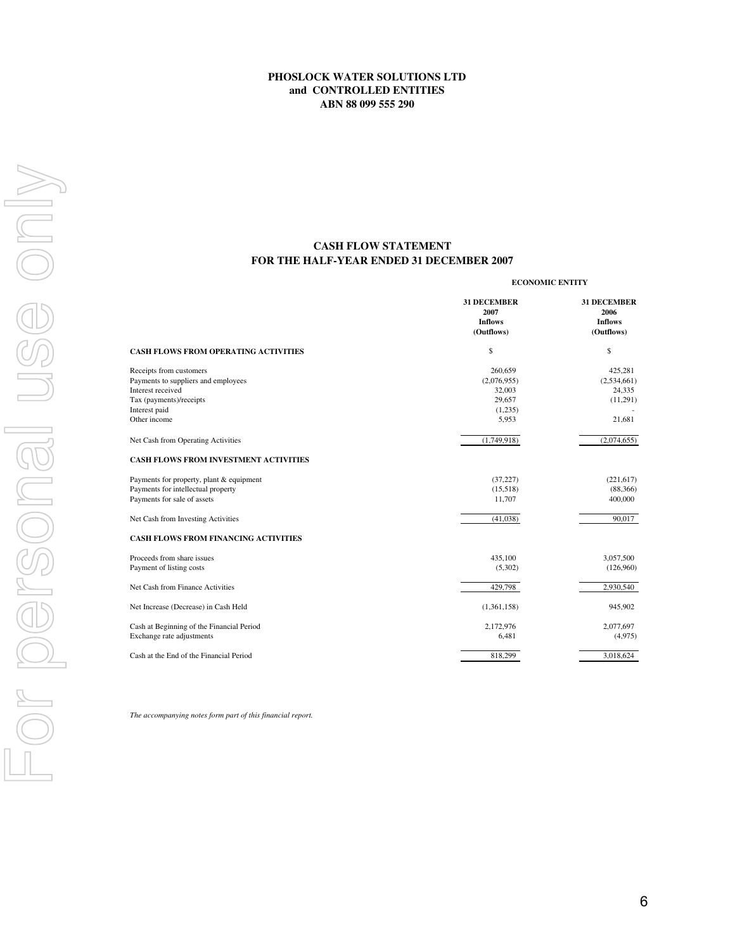### **FOR THE HALF-YEAR ENDED 31 DECEMBER 2007 CASH FLOW STATEMENT**

|                                                                                                                                 | <b>ECONOMIC ENTITY</b>                                     |                                                            |  |
|---------------------------------------------------------------------------------------------------------------------------------|------------------------------------------------------------|------------------------------------------------------------|--|
|                                                                                                                                 | <b>31 DECEMBER</b><br>2007<br><b>Inflows</b><br>(Outflows) | <b>31 DECEMBER</b><br>2006<br><b>Inflows</b><br>(Outflows) |  |
| <b>CASH FLOWS FROM OPERATING ACTIVITIES</b>                                                                                     | \$                                                         | \$                                                         |  |
| Receipts from customers<br>Payments to suppliers and employees<br>Interest received<br>Tax (payments)/receipts<br>Interest paid | 260,659<br>(2,076,955)<br>32,003<br>29,657<br>(1,235)      | 425,281<br>(2,534,661)<br>24,335<br>(11,291)               |  |
| Other income<br>Net Cash from Operating Activities                                                                              | 5,953<br>(1,749,918)                                       | 21,681<br>(2,074,655)                                      |  |
| <b>CASH FLOWS FROM INVESTMENT ACTIVITIES</b>                                                                                    |                                                            |                                                            |  |
| Payments for property, plant & equipment<br>Payments for intellectual property<br>Payments for sale of assets                   | (37, 227)<br>(15,518)<br>11,707                            | (221, 617)<br>(88, 366)<br>400,000                         |  |
| Net Cash from Investing Activities                                                                                              | (41,038)                                                   | 90.017                                                     |  |
| <b>CASH FLOWS FROM FINANCING ACTIVITIES</b>                                                                                     |                                                            |                                                            |  |
| Proceeds from share issues<br>Payment of listing costs                                                                          | 435,100<br>(5,302)                                         | 3,057,500<br>(126,960)                                     |  |
| Net Cash from Finance Activities                                                                                                | 429,798                                                    | 2,930,540                                                  |  |
| Net Increase (Decrease) in Cash Held                                                                                            | (1,361,158)                                                | 945,902                                                    |  |
| Cash at Beginning of the Financial Period<br>Exchange rate adjustments                                                          | 2,172,976<br>6,481                                         | 2,077,697<br>(4,975)                                       |  |
| Cash at the End of the Financial Period                                                                                         | 818,299                                                    | 3,018,624                                                  |  |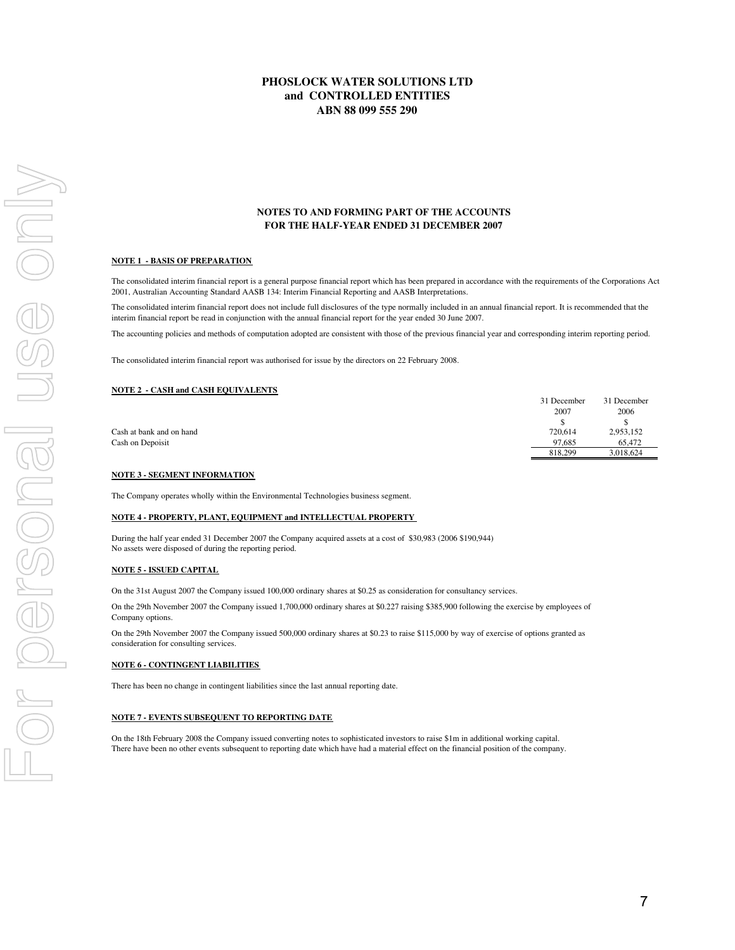#### **NOTES TO AND FORMING PART OF THE ACCOUNTS FOR THE HALF-YEAR ENDED 31 DECEMBER 2007**

#### **NOTE 1 - BASIS OF PREPARATION**

The consolidated interim financial report is a general purpose financial report which has been prepared in accordance with the requirements of the Corporations Act 2001, Australian Accounting Standard AASB 134: Interim Financial Reporting and AASB Interpretations.

The consolidated interim financial report does not include full disclosures of the type normally included in an annual financial report. It is recommended that the interim financial report be read in conjunction with the annual financial report for the year ended 30 June 2007.

The accounting policies and methods of computation adopted are consistent with those of the previous financial year and corresponding interim reporting period.

The consolidated interim financial report was authorised for issue by the directors on 22 February 2008.

#### **NOTE 2 - CASH and CASH EQUIVALENTS**

| 31 December | 31 December |
|-------------|-------------|
| 2007        | 2006        |
|             |             |
| 720.614     | 2,953,152   |
| 97.685      | 65,472      |
| 818,299     | 3.018.624   |
|             |             |

#### **NOTE 3 - SEGMENT INFORMATION**

The Company operates wholly within the Environmental Technologies business segment.

#### **NOTE 4 - PROPERTY, PLANT, EQUIPMENT and INTELLECTUAL PROPERTY**

During the half year ended 31 December 2007 the Company acquired assets at a cost of \$30,983 (2006 \$190,944) No assets were disposed of during the reporting period.

#### **NOTE 5 - ISSUED CAPITAL**

On the 31st August 2007 the Company issued 100,000 ordinary shares at \$0.25 as consideration for consultancy services.

On the 29th November 2007 the Company issued 1,700,000 ordinary shares at \$0.227 raising \$385,900 following the exercise by employees of Company options.

On the 29th November 2007 the Company issued 500,000 ordinary shares at \$0.23 to raise \$115,000 by way of exercise of options granted as consideration for consulting services.

#### **NOTE 6 - CONTINGENT LIABILITIES**

There has been no change in contingent liabilities since the last annual reporting date.

#### **NOTE 7 - EVENTS SUBSEQUENT TO REPORTING DATE**

On the 18th February 2008 the Company issued converting notes to sophisticated investors to raise \$1m in additional working capital. There have been no other events subsequent to reporting date which have had a material effect on the financial position of the company.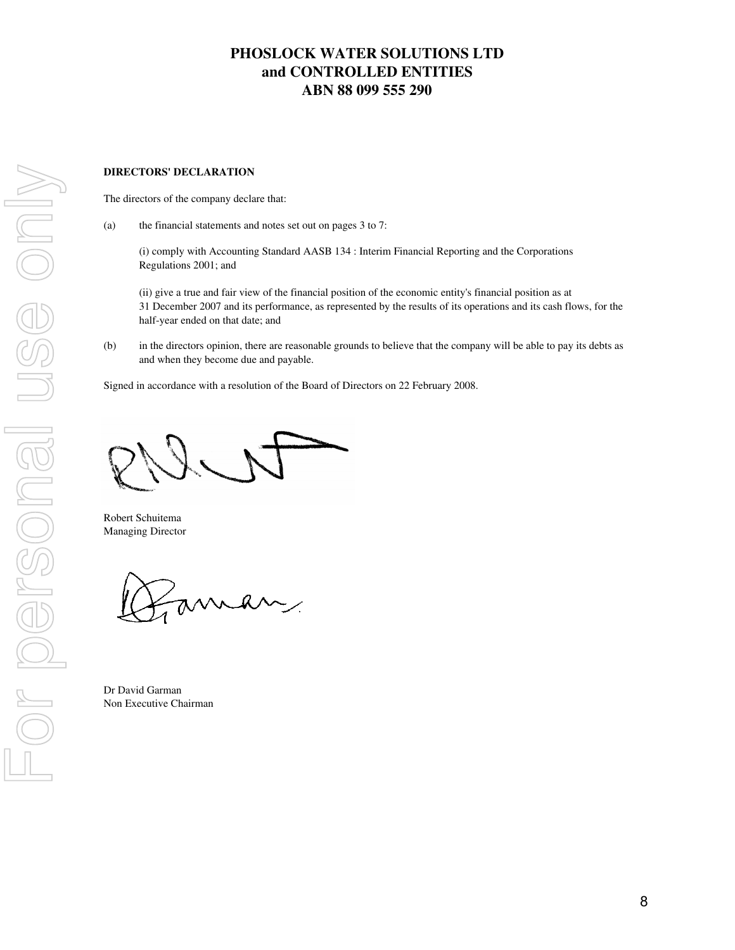### **DIRECTORS' DECLARATION**

The directors of the company declare that:

(a) the financial statements and notes set out on pages 3 to 7:

(i) comply with Accounting Standard AASB 134 : Interim Financial Reporting and the Corporations Regulations 2001; and

(ii) give a true and fair view of the financial position of the economic entity's financial position as at 31 December 2007 and its performance, as represented by the results of its operations and its cash flows, for the half-year ended on that date; and

(b) in the directors opinion, there are reasonable grounds to believe that the company will be able to pay its debts as and when they become due and payable.

Signed in accordance with a resolution of the Board of Directors on 22 February 2008.

Robert Schuitema Managing Director

man

Dr David Garman Non Executive Chairman